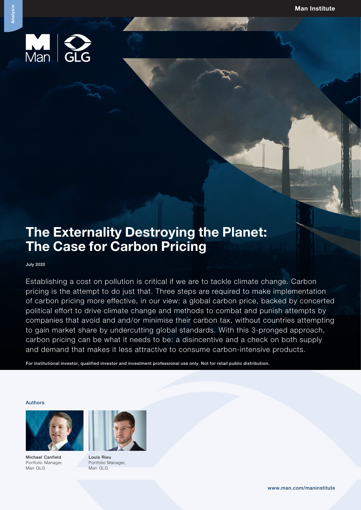

# The Externality Destroying the Planet: The Case for Carbon Pricing

July 2020

Establishing a cost on pollution is critical if we are to tackle climate change. Carbon pricing is the attempt to do just that. Three steps are required to make implementation of carbon pricing more effective, in our view: a global carbon price, backed by concerted political effort to drive climate change and methods to combat and punish attempts by companies that avoid and and/or minimise their carbon tax, without countries attempting to gain market share by undercutting global standards. With this 3-pronged approach, carbon pricing can be what it needs to be: a disincentive and a check on both supply and demand that makes it less attractive to consume carbon-intensive products.

For institutional investor, qualified investor and investment professional use only. Not for retail public distribution.

#### Authors



Michael Canfield Portfolio Manager, Man GLG



Louis Rieu Portfolio Manager, Man GLG

Analysis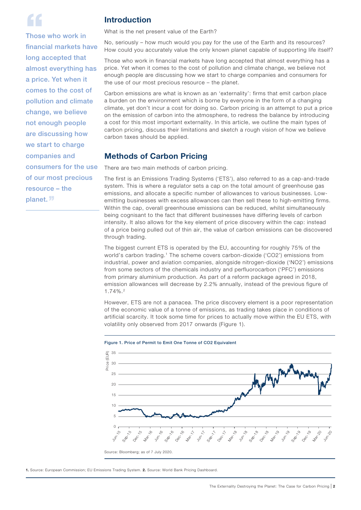

ff<br>Those who work in financial markets have long accepted that almost everything has a price. Yet when it comes to the cost of pollution and climate change, we believe not enough people are discussing how we start to charge companies and consumers for the use of our most precious resource – the planet.''

### Introduction

What is the net present value of the Earth?

No, seriously – how much would you pay for the use of the Earth and its resources? How could you accurately value the only known planet capable of supporting life itself?

Those who work in financial markets have long accepted that almost everything has a price. Yet when it comes to the cost of pollution and climate change, we believe not enough people are discussing how we start to charge companies and consumers for the use of our most precious resource – the planet.

Carbon emissions are what is known as an 'externality': firms that emit carbon place a burden on the environment which is borne by everyone in the form of a changing climate, yet don't incur a cost for doing so. Carbon pricing is an attempt to put a price on the emission of carbon into the atmosphere, to redress the balance by introducing a cost for this most important externality. In this article, we outline the main types of carbon pricing, discuss their limitations and sketch a rough vision of how we believe carbon taxes should be applied.

### Methods of Carbon Pricing

There are two main methods of carbon pricing.

The first is an Emissions Trading Systems ('ETS'), also referred to as a cap-and-trade system. This is where a regulator sets a cap on the total amount of greenhouse gas emissions, and allocate a specific number of allowances to various businesses. Lowemitting businesses with excess allowances can then sell these to high-emitting firms. Within the cap, overall greenhouse emissions can be reduced, whilst simultaneously being cognisant to the fact that different businesses have differing levels of carbon intensity. It also allows for the key element of price discovery within the cap: instead of a price being pulled out of thin air, the value of carbon emissions can be discovered through trading.

The biggest current ETS is operated by the EU, accounting for roughly 75% of the world's carbon trading.1 The scheme covers carbon-dioxide ('CO2') emissions from industrial, power and aviation companies, alongside nitrogen-dioxide ('NO2') emissions from some sectors of the chemicals industry and perfluorocarbon ('PFC') emissions from primary aluminium production. As part of a reform package agreed in 2018, emission allowances will decrease by 2.2% annually, instead of the previous figure of 1.74%.2

However, ETS are not a panacea. The price discovery element is a poor representation of the economic value of a tonne of emissions, as trading takes place in conditions of artificial scarcity. It took some time for prices to actually move within the EU ETS, with volatility only observed from 2017 onwards (Figure 1).





1. Source: European Commission; EU Emissions Trading System. 2. Source: World Bank Pricing Dashboard.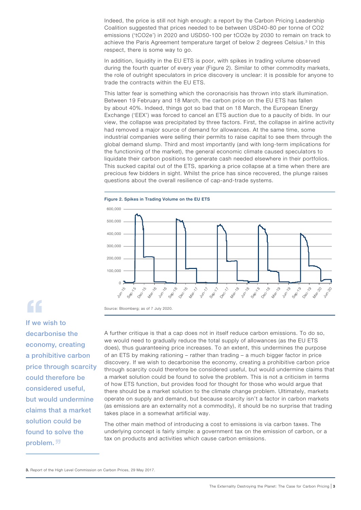Indeed, the price is still not high enough: a report by the Carbon Pricing Leadership Coalition suggested that prices needed to be between USD40-80 per tonne of CO2 emissions ('tCO2e') in 2020 and USD50-100 per tCO2e by 2030 to remain on track to achieve the Paris Agreement temperature target of below 2 degrees Celsius.<sup>3</sup> In this respect, there is some way to go.

In addition, liquidity in the EU ETS is poor, with spikes in trading volume observed during the fourth quarter of every year (Figure 2). Similar to other commodity markets, the role of outright speculators in price discovery is unclear: it is possible for anyone to trade the contracts within the EU ETS.

This latter fear is something which the coronacrisis has thrown into stark illumination. Between 19 February and 18 March, the carbon price on the EU ETS has fallen by about 40%. Indeed, things got so bad that on 18 March, the European Energy Exchange ('EEX') was forced to cancel an ETS auction due to a paucity of bids. In our view, the collapse was precipitated by three factors. First, the collapse in airline activity had removed a major source of demand for allowances. At the same time, some industrial companies were selling their permits to raise capital to see them through the global demand slump. Third and most importantly (and with long-term implications for the functioning of the market), the general economic climate caused speculators to liquidate their carbon positions to generate cash needed elsewhere in their portfolios. This sucked capital out of the ETS, sparking a price collapse at a time when there are precious few bidders in sight. Whilst the price has since recovered, the plunge raises questions about the overall resilience of cap-and-trade systems.







If we wish to decarbonise the economy, creating a prohibitive carbon price through scarcity could therefore be considered useful, but would undermine claims that a market solution could be found to solve the problem.<sup>"</sup>

Source: Bloomberg; as of 7 July 2020.

A further critique is that a cap does not in itself reduce carbon emissions. To do so, we would need to gradually reduce the total supply of allowances (as the EU ETS does), thus guaranteeing price increases. To an extent, this undermines the purpose of an ETS by making rationing – rather than trading – a much bigger factor in price discovery. If we wish to decarbonise the economy, creating a prohibitive carbon price through scarcity could therefore be considered useful, but would undermine claims that a market solution could be found to solve the problem. This is not a criticism in terms of how ETS function, but provides food for thought for those who would argue that there should be a market solution to the climate change problem. Ultimately, markets operate on supply and demand, but because scarcity isn't a factor in carbon markets (as emissions are an externality not a commodity), it should be no surprise that trading takes place in a somewhat artificial way.

The other main method of introducing a cost to emissions is via carbon taxes. The underlying concept is fairly simple: a government tax on the emission of carbon, or a tax on products and activities which cause carbon emissions.

3. Report of the High Level Commission on Carbon Prices, 29 May 2017.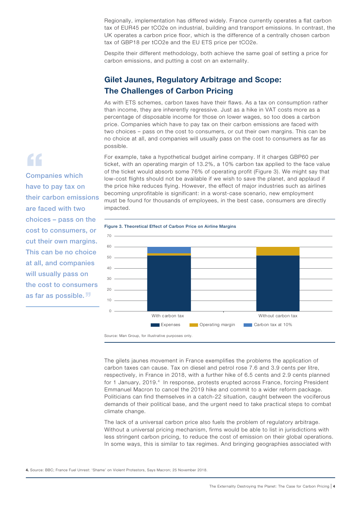Regionally, implementation has differed widely. France currently operates a flat carbon tax of EUR45 per tCO2e on industrial, building and transport emissions. In contrast, the UK operates a carbon price floor, which is the difference of a centrally chosen carbon tax of GBP18 per tCO2e and the EU ETS price per tCO2e.

Despite their different methodology, both achieve the same goal of setting a price for carbon emissions, and putting a cost on an externality.

# Gilet Jaunes, Regulatory Arbitrage and Scope: The Challenges of Carbon Pricing

As with ETS schemes, carbon taxes have their flaws. As a tax on consumption rather than income, they are inherently regressive. Just as a hike in VAT costs more as a percentage of disposable income for those on lower wages, so too does a carbon price. Companies which have to pay tax on their carbon emissions are faced with two choices – pass on the cost to consumers, or cut their own margins. This can be no choice at all, and companies will usually pass on the cost to consumers as far as possible.

For example, take a hypothetical budget airline company. If it charges GBP60 per ticket, with an operating margin of 13.2%, a 10% carbon tax applied to the face value of the ticket would absorb some 76% of operating profit (Figure 3). We might say that low-cost flights should not be available if we wish to save the planet, and applaud if the price hike reduces flying. However, the effect of major industries such as airlines becoming unprofitable is significant: in a worst-case scenario, new employment must be found for thousands of employees, in the best case, consumers are directly impacted.



Source: Man Group, for illustrative purposes only.

The gilets jaunes movement in France exemplifies the problems the application of carbon taxes can cause. Tax on diesel and petrol rose 7.6 and 3.9 cents per litre, respectively, in France in 2018, with a further hike of 6.5 cents and 2.9 cents planned for 1 January, 2019.<sup>4</sup> In response, protests erupted across France, forcing President Emmanuel Macron to cancel the 2019 hike and commit to a wider reform package. Politicians can find themselves in a catch-22 situation, caught between the vociferous demands of their political base, and the urgent need to take practical steps to combat climate change.

The lack of a universal carbon price also fuels the problem of regulatory arbitrage. Without a universal pricing mechanism, firms would be able to list in jurisdictions with less stringent carbon pricing, to reduce the cost of emission on their global operations. In some ways, this is similar to tax regimes. And bringing geographies associated with

# Companies which have to pay tax on

 $\epsilon$ 

their carbon emissions are faced with two choices – pass on the cost to consumers, or cut their own margins. This can be no choice at all, and companies will usually pass on the cost to consumers as far as possible.''

<sup>4.</sup> Source: BBC; France Fuel Unrest: 'Shame' on Violent Protestors, Says Macron; 25 November 2018.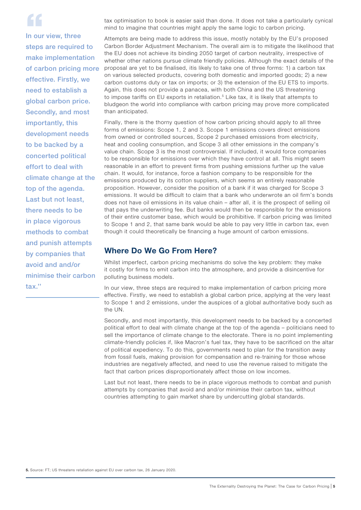ff<br>In our view, three steps are required to make implementation of carbon pricing more effective. Firstly, we need to establish a global carbon price. Secondly, and most importantly, this development needs to be backed by a concerted political effort to deal with climate change at the top of the agenda. Last but not least, there needs to be in place vigorous methods to combat and punish attempts by companies that avoid and and/or minimise their carbon tax.''

tax optimisation to book is easier said than done. It does not take a particularly cynical mind to imagine that countries might apply the same logic to carbon pricing.

Attempts are being made to address this issue, mostly notably by the EU's proposed Carbon Border Adjustment Mechanism. The overall aim is to mitigate the likelihood that the EU does not achieve its binding 2050 target of carbon neutrality, irrespective of whether other nations pursue climate friendly policies. Although the exact details of the proposal are yet to be finalised, itis likely to take one of three forms: 1) a carbon tax on various selected products, covering both domestic and imported goods; 2) a new carbon customs duty or tax on imports; or 3) the extension of the EU ETS to imports. Again, this does not provide a panacea, with both China and the US threatening to impose tariffs on EU exports in retaliation.<sup>5</sup> Like tax, it is likely that attempts to bludgeon the world into compliance with carbon pricing may prove more complicated than anticipated.

Finally, there is the thorny question of how carbon pricing should apply to all three forms of emissions: Scope 1, 2 and 3. Scope 1 emissions covers direct emissions from owned or controlled sources, Scope 2 purchased emissions from electricity, heat and cooling consumption, and Scope 3 all other emissions in the company's value chain. Scope 3 is the most controversial. If included, it would force companies to be responsible for emissions over which they have control at all. This might seem reasonable in an effort to prevent firms from pushing emissions further up the value chain. It would, for instance, force a fashion company to be responsible for the emissions produced by its cotton suppliers, which seems an entirely reasonable proposition. However, consider the position of a bank if it was charged for Scope 3 emissions. It would be difficult to claim that a bank who underwrote an oil firm's bonds does not have oil emissions in its value chain – after all, it is the prospect of selling oil that pays the underwriting fee. But banks would then be responsible for the emissions of their entire customer base, which would be prohibitive. If carbon pricing was limited to Scope 1 and 2, that same bank would be able to pay very little in carbon tax, even though it could theoretically be financing a huge amount of carbon emissions.

### Where Do We Go From Here?

Whilst imperfect, carbon pricing mechanisms do solve the key problem: they make it costly for firms to emit carbon into the atmosphere, and provide a disincentive for polluting business models.

In our view, three steps are required to make implementation of carbon pricing more effective. Firstly, we need to establish a global carbon price, applying at the very least to Scope 1 and 2 emissions, under the auspices of a global authoritative body such as the UN.

Secondly, and most importantly, this development needs to be backed by a concerted political effort to deal with climate change at the top of the agenda – politicians need to sell the importance of climate change to the electorate. There is no point implementing climate-friendly policies if, like Macron's fuel tax, they have to be sacrificed on the altar of political expediency. To do this, governments need to plan for the transition away from fossil fuels, making provision for compensation and re-training for those whose industries are negatively affected, and need to use the revenue raised to mitigate the fact that carbon prices disproportionately affect those on low incomes.

Last but not least, there needs to be in place vigorous methods to combat and punish attempts by companies that avoid and and/or minimise their carbon tax, without countries attempting to gain market share by undercutting global standards.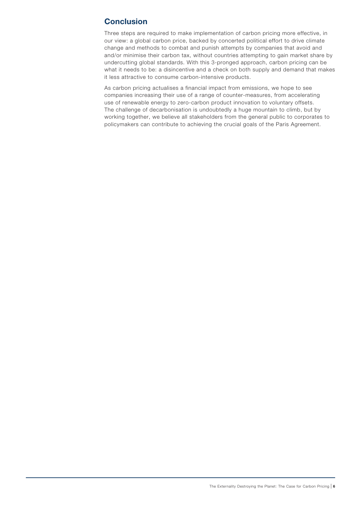# **Conclusion**

Three steps are required to make implementation of carbon pricing more effective, in our view: a global carbon price, backed by concerted political effort to drive climate change and methods to combat and punish attempts by companies that avoid and and/or minimise their carbon tax, without countries attempting to gain market share by undercutting global standards. With this 3-pronged approach, carbon pricing can be what it needs to be: a disincentive and a check on both supply and demand that makes it less attractive to consume carbon-intensive products.

As carbon pricing actualises a financial impact from emissions, we hope to see companies increasing their use of a range of counter-measures, from accelerating use of renewable energy to zero-carbon product innovation to voluntary offsets. The challenge of decarbonisation is undoubtedly a huge mountain to climb, but by working together, we believe all stakeholders from the general public to corporates to policymakers can contribute to achieving the crucial goals of the Paris Agreement.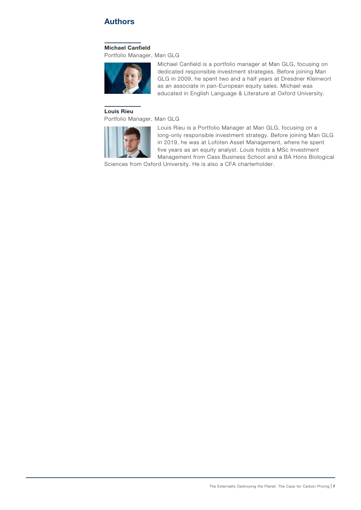## Authors

#### Michael Canfield

Portfolio Manager, Man GLG



Michael Canfield is a portfolio manager at Man GLG, focusing on dedicated responsible investment strategies. Before joining Man GLG in 2009, he spent two and a half years at Dresdner Kleinwort as an associate in pan-European equity sales. Michael was educated in English Language & Literature at Oxford University.

#### Louis Rieu

Portfolio Manager, Man GLG



Louis Rieu is a Portfolio Manager at Man GLG, focusing on a long-only responsible investment strategy. Before joining Man GLG in 2019, he was at Lofoten Asset Management, where he spent five years as an equity analyst. Louis holds a MSc Investment Management from Cass Business School and a BA Hons Biological

Sciences from Oxford University. He is also a CFA charterholder.